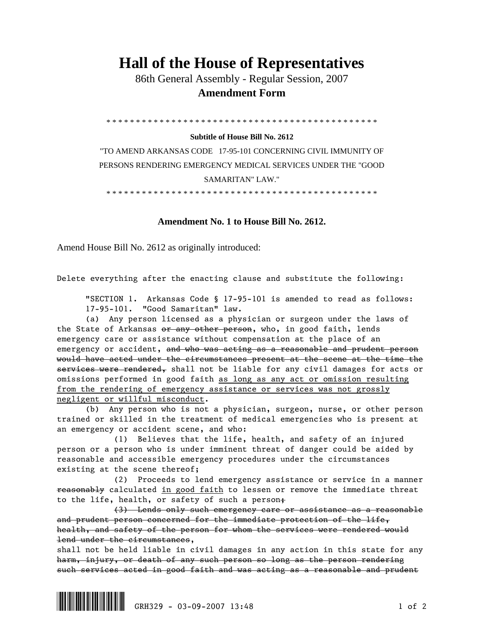## **Hall of the House of Representatives**

 86th General Assembly - Regular Session, 2007  **Amendment Form** 

\* \* \* \* \* \* \* \* \* \* \* \* \* \* \* \* \* \* \* \* \* \* \* \* \* \* \* \* \* \* \* \* \* \* \* \* \* \* \* \* \* \* \* \* \* \*

## **Subtitle of House Bill No. 2612**

"TO AMEND ARKANSAS CODE 17-95-101 CONCERNING CIVIL IMMUNITY OF PERSONS RENDERING EMERGENCY MEDICAL SERVICES UNDER THE "GOOD SAMARITAN" LAW."

\* \* \* \* \* \* \* \* \* \* \* \* \* \* \* \* \* \* \* \* \* \* \* \* \* \* \* \* \* \* \* \* \* \* \* \* \* \* \* \* \* \* \* \* \* \*

## **Amendment No. 1 to House Bill No. 2612.**

Amend House Bill No. 2612 as originally introduced:

Delete everything after the enacting clause and substitute the following:

 "SECTION 1. Arkansas Code § 17-95-101 is amended to read as follows: 17-95-101. "Good Samaritan" law.

 (a) Any person licensed as a physician or surgeon under the laws of the State of Arkansas or any other person, who, in good faith, lends emergency care or assistance without compensation at the place of an emergency or accident, and who was acting as a reasonable and prudent person would have acted under the circumstances present at the scene at the time the services were rendered, shall not be liable for any civil damages for acts or omissions performed in good faith as long as any act or omission resulting from the rendering of emergency assistance or services was not grossly negligent or willful misconduct.

 (b) Any person who is not a physician, surgeon, nurse, or other person trained or skilled in the treatment of medical emergencies who is present at an emergency or accident scene, and who:

 (1) Believes that the life, health, and safety of an injured person or a person who is under imminent threat of danger could be aided by reasonable and accessible emergency procedures under the circumstances existing at the scene thereof;

 (2) Proceeds to lend emergency assistance or service in a manner reasonably calculated in good faith to lessen or remove the immediate threat to the life, health, or safety of such a person;

 (3) Lends only such emergency care or assistance as a reasonable and prudent person concerned for the immediate protection of the life, health, and safety of the person for whom the services were rendered would lend under the circumstances,

shall not be held liable in civil damages in any action in this state for any harm, injury, or death of any such person so long as the person rendering such services acted in good faith and was acting as a reasonable and prudent